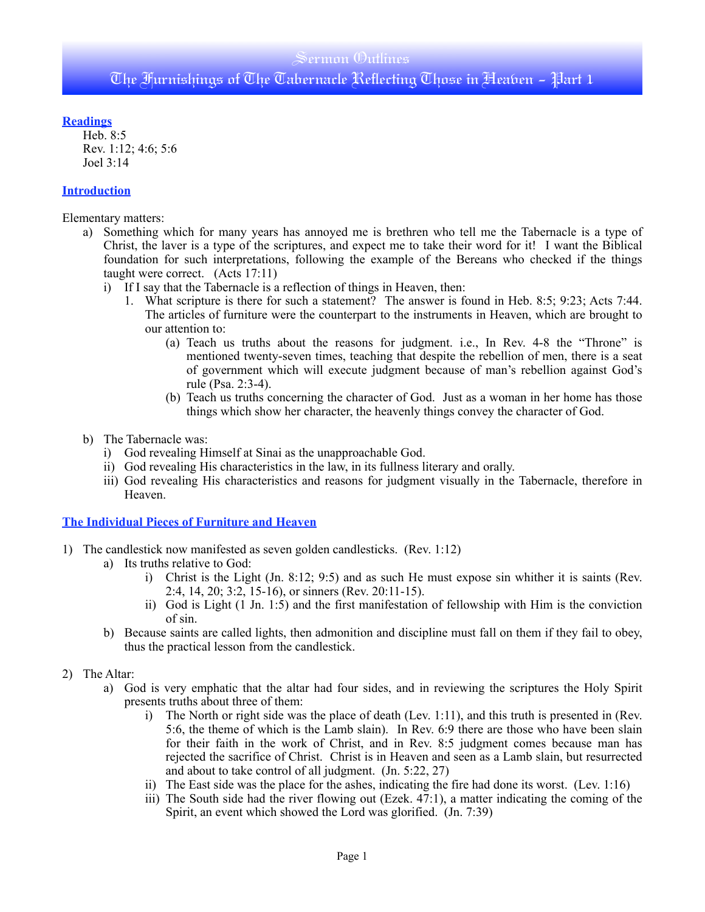### Sermon Outlines

# The Furnishings of The Tabernacle Reflecting Those in Heaven - Part 1

#### **Readings**

Heb. 8:5 Rev. 1:12; 4:6; 5:6 Joel 3:14

#### **Introduction**

Elementary matters:

- a) Something which for many years has annoyed me is brethren who tell me the Tabernacle is a type of Christ, the laver is a type of the scriptures, and expect me to take their word for it! I want the Biblical foundation for such interpretations, following the example of the Bereans who checked if the things taught were correct. (Acts 17:11)
	- i) If I say that the Tabernacle is a reflection of things in Heaven, then:
		- 1. What scripture is there for such a statement? The answer is found in Heb. 8:5; 9:23; Acts 7:44. The articles of furniture were the counterpart to the instruments in Heaven, which are brought to our attention to:
			- (a) Teach us truths about the reasons for judgment. i.e., In Rev. 4-8 the "Throne" is mentioned twenty-seven times, teaching that despite the rebellion of men, there is a seat of government which will execute judgment because of man's rebellion against God's rule (Psa. 2:3-4).
			- (b) Teach us truths concerning the character of God. Just as a woman in her home has those things which show her character, the heavenly things convey the character of God.
- b) The Tabernacle was:
	- i) God revealing Himself at Sinai as the unapproachable God.
	- ii) God revealing His characteristics in the law, in its fullness literary and orally.
	- iii) God revealing His characteristics and reasons for judgment visually in the Tabernacle, therefore in Heaven.

**The Individual Pieces of Furniture and Heaven**

- 1) The candlestick now manifested as seven golden candlesticks. (Rev. 1:12)
	- a) Its truths relative to God:
		- i) Christ is the Light (Jn. 8:12; 9:5) and as such He must expose sin whither it is saints (Rev. 2:4, 14, 20; 3:2, 15-16), or sinners (Rev. 20:11-15).
		- ii) God is Light (1 Jn. 1:5) and the first manifestation of fellowship with Him is the conviction of sin.
	- b) Because saints are called lights, then admonition and discipline must fall on them if they fail to obey, thus the practical lesson from the candlestick.

#### 2) The Altar:

- a) God is very emphatic that the altar had four sides, and in reviewing the scriptures the Holy Spirit presents truths about three of them:
	- i) The North or right side was the place of death (Lev. 1:11), and this truth is presented in (Rev. 5:6, the theme of which is the Lamb slain). In Rev. 6:9 there are those who have been slain for their faith in the work of Christ, and in Rev. 8:5 judgment comes because man has rejected the sacrifice of Christ. Christ is in Heaven and seen as a Lamb slain, but resurrected and about to take control of all judgment. (Jn. 5:22, 27)
	- ii) The East side was the place for the ashes, indicating the fire had done its worst. (Lev. 1:16)
	- iii) The South side had the river flowing out (Ezek. 47:1), a matter indicating the coming of the Spirit, an event which showed the Lord was glorified. (Jn. 7:39)